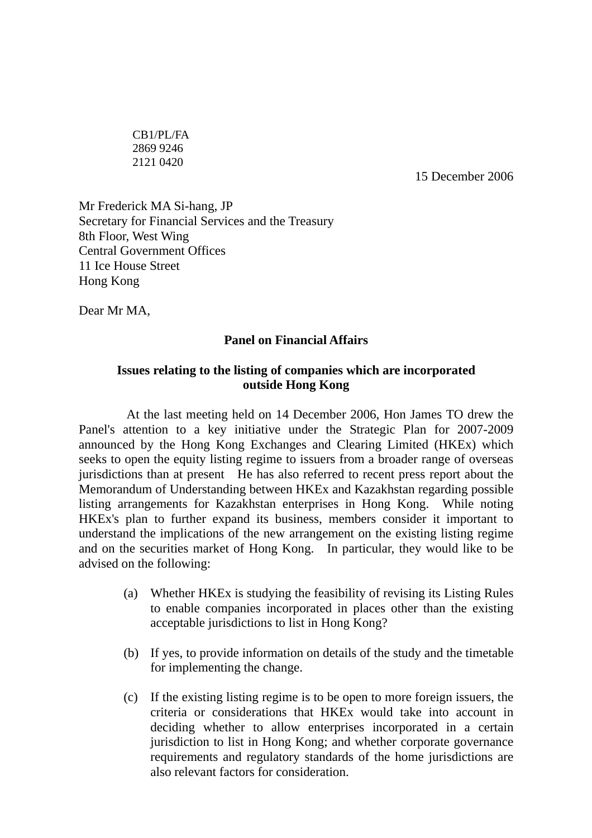CB1/PL/FA 2869 9246 2121 0420

15 December 2006

Mr Frederick MA Si-hang, JP Secretary for Financial Services and the Treasury 8th Floor, West Wing Central Government Offices 11 Ice House Street Hong Kong

Dear Mr MA,

## **Panel on Financial Affairs**

## **Issues relating to the listing of companies which are incorporated outside Hong Kong**

 At the last meeting held on 14 December 2006, Hon James TO drew the Panel's attention to a key initiative under the Strategic Plan for 2007-2009 announced by the Hong Kong Exchanges and Clearing Limited (HKEx) which seeks to open the equity listing regime to issuers from a broader range of overseas jurisdictions than at present He has also referred to recent press report about the Memorandum of Understanding between HKEx and Kazakhstan regarding possible listing arrangements for Kazakhstan enterprises in Hong Kong. While noting HKEx's plan to further expand its business, members consider it important to understand the implications of the new arrangement on the existing listing regime and on the securities market of Hong Kong. In particular, they would like to be advised on the following:

- (a) Whether HKEx is studying the feasibility of revising its Listing Rules to enable companies incorporated in places other than the existing acceptable jurisdictions to list in Hong Kong?
- (b) If yes, to provide information on details of the study and the timetable for implementing the change.
- (c) If the existing listing regime is to be open to more foreign issuers, the criteria or considerations that HKEx would take into account in deciding whether to allow enterprises incorporated in a certain jurisdiction to list in Hong Kong; and whether corporate governance requirements and regulatory standards of the home jurisdictions are also relevant factors for consideration.